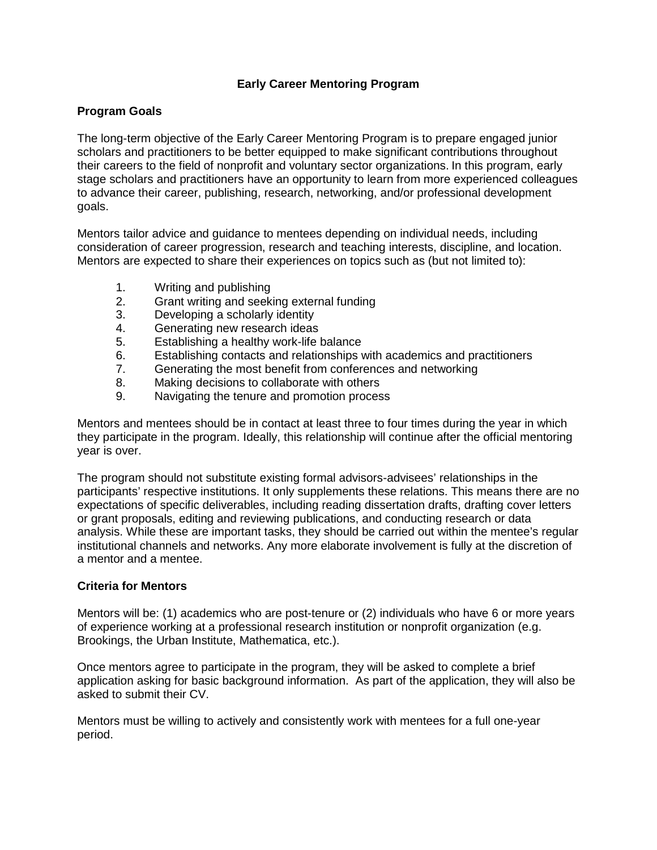## **Early Career Mentoring Program**

## **Program Goals**

The long-term objective of the Early Career Mentoring Program is to prepare engaged junior scholars and practitioners to be better equipped to make significant contributions throughout their careers to the field of nonprofit and voluntary sector organizations. In this program, early stage scholars and practitioners have an opportunity to learn from more experienced colleagues to advance their career, publishing, research, networking, and/or professional development goals.

Mentors tailor advice and guidance to mentees depending on individual needs, including consideration of career progression, research and teaching interests, discipline, and location. Mentors are expected to share their experiences on topics such as (but not limited to):

- 1. Writing and publishing<br>2. Grant writing and seek
- Grant writing and seeking external funding
- 3. Developing a scholarly identity
- 4. Generating new research ideas
- 5. Establishing a healthy work-life balance
- 6. Establishing contacts and relationships with academics and practitioners
- 7. Generating the most benefit from conferences and networking
- 8. Making decisions to collaborate with others
- 9. Navigating the tenure and promotion process

Mentors and mentees should be in contact at least three to four times during the year in which they participate in the program. Ideally, this relationship will continue after the official mentoring year is over.

The program should not substitute existing formal advisors-advisees' relationships in the participants' respective institutions. It only supplements these relations. This means there are no expectations of specific deliverables, including reading dissertation drafts, drafting cover letters or grant proposals, editing and reviewing publications, and conducting research or data analysis. While these are important tasks, they should be carried out within the mentee's regular institutional channels and networks. Any more elaborate involvement is fully at the discretion of a mentor and a mentee.

## **Criteria for Mentors**

Mentors will be: (1) academics who are post-tenure or (2) individuals who have 6 or more years of experience working at a professional research institution or nonprofit organization (e.g. Brookings, the Urban Institute, Mathematica, etc.).

Once mentors agree to participate in the program, they will be asked to complete a brief application asking for basic background information. As part of the application, they will also be asked to submit their CV.

Mentors must be willing to actively and consistently work with mentees for a full one-year period.